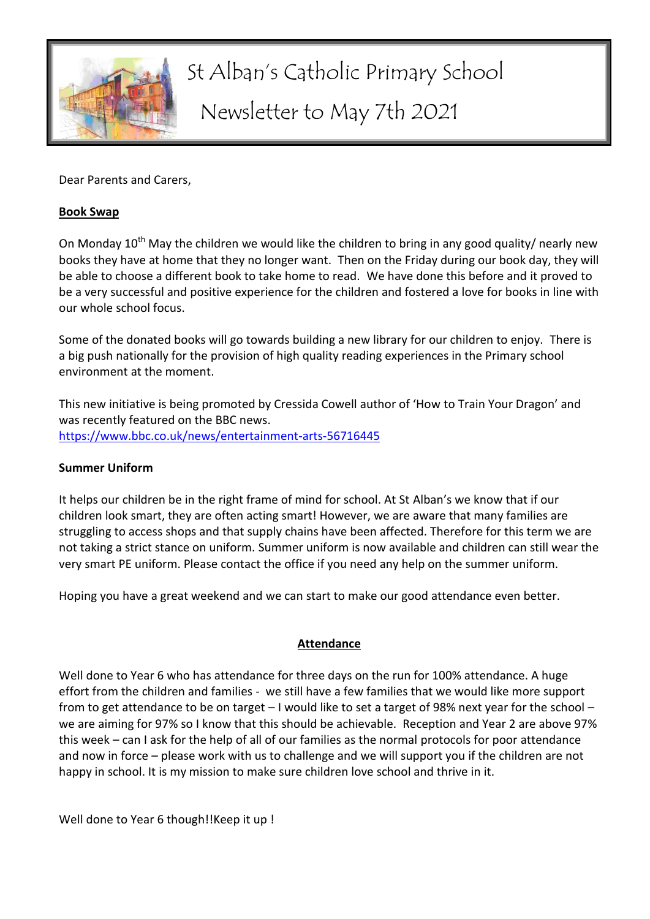

# St Alban's Catholic Primary School Newsletter to May 7th 2021

Dear Parents and Carers,

#### **Book Swap**

On Monday  $10<sup>th</sup>$  May the children we would like the children to bring in any good quality/ nearly new books they have at home that they no longer want. Then on the Friday during our book day, they will be able to choose a different book to take home to read. We have done this before and it proved to be a very successful and positive experience for the children and fostered a love for books in line with our whole school focus.

Some of the donated books will go towards building a new library for our children to enjoy. There is a big push nationally for the provision of high quality reading experiences in the Primary school environment at the moment.

This new initiative is being promoted by Cressida Cowell author of 'How to Train Your Dragon' and was recently featured on the BBC news. <https://www.bbc.co.uk/news/entertainment-arts-56716445>

#### **Summer Uniform**

It helps our children be in the right frame of mind for school. At St Alban's we know that if our children look smart, they are often acting smart! However, we are aware that many families are struggling to access shops and that supply chains have been affected. Therefore for this term we are not taking a strict stance on uniform. Summer uniform is now available and children can still wear the very smart PE uniform. Please contact the office if you need any help on the summer uniform.

Hoping you have a great weekend and we can start to make our good attendance even better.

### **Attendance**

Well done to Year 6 who has attendance for three days on the run for 100% attendance. A huge effort from the children and families - we still have a few families that we would like more support from to get attendance to be on target – I would like to set a target of 98% next year for the school – we are aiming for 97% so I know that this should be achievable. Reception and Year 2 are above 97% this week – can I ask for the help of all of our families as the normal protocols for poor attendance and now in force – please work with us to challenge and we will support you if the children are not happy in school. It is my mission to make sure children love school and thrive in it.

Well done to Year 6 though!!Keep it up !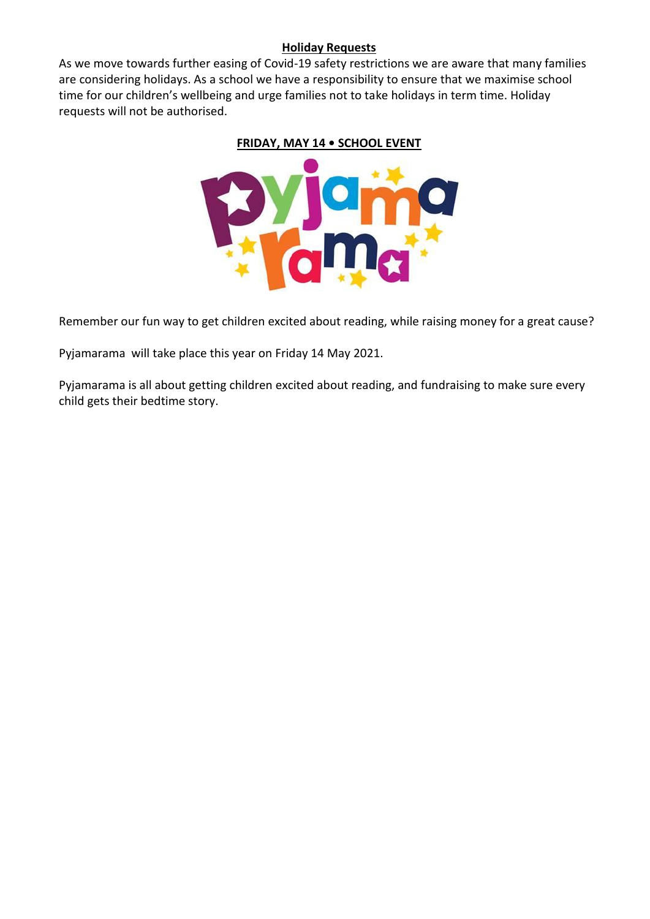#### **Holiday Requests**

As we move towards further easing of Covid-19 safety restrictions we are aware that many families are considering holidays. As a school we have a responsibility to ensure that we maximise school time for our children's wellbeing and urge families not to take holidays in term time. Holiday requests will not be authorised.

# **FRIDAY, MAY 14 • SCHOOL EVENT**



Remember our fun way to get children excited about reading, while raising money for a great cause?

Pyjamarama will take place this year on Friday 14 May 2021.

Pyjamarama is all about getting children excited about reading, and fundraising to make sure every child gets their bedtime story.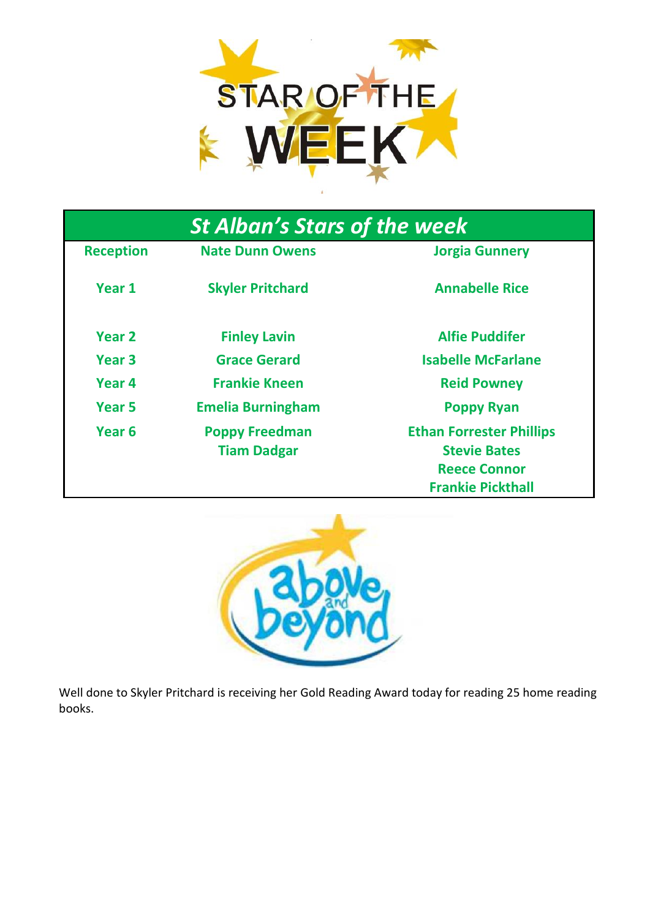

| <b>St Alban's Stars of the week</b> |                          |                                 |
|-------------------------------------|--------------------------|---------------------------------|
| <b>Reception</b>                    | <b>Nate Dunn Owens</b>   | <b>Jorgia Gunnery</b>           |
| Year 1                              | <b>Skyler Pritchard</b>  | <b>Annabelle Rice</b>           |
| Year <sub>2</sub>                   | <b>Finley Lavin</b>      | <b>Alfie Puddifer</b>           |
| Year <sub>3</sub>                   | <b>Grace Gerard</b>      | <b>Isabelle McFarlane</b>       |
| Year 4                              | <b>Frankie Kneen</b>     | <b>Reid Powney</b>              |
| Year 5                              | <b>Emelia Burningham</b> | <b>Poppy Ryan</b>               |
| Year <sub>6</sub>                   | <b>Poppy Freedman</b>    | <b>Ethan Forrester Phillips</b> |
|                                     | <b>Tiam Dadgar</b>       | <b>Stevie Bates</b>             |
|                                     |                          | <b>Reece Connor</b>             |
|                                     |                          | <b>Frankie Pickthall</b>        |



Well done to Skyler Pritchard is receiving her Gold Reading Award today for reading 25 home reading books.